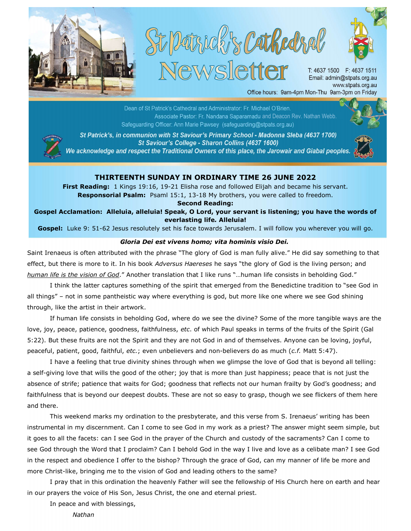





T: 4637 1500 F: 4637 1511 Email: admin@stpats.org.au www.stpats.org.au Office hours: 9am-4pm Mon-Thu 9am-3pm on Friday

and Deacon: Rev. Nathan Webb.<br>and Deacon: Rev. Nathan Webb. Safeguarding Officer: Ann Marie Pawsey (safeguarding@stpats.org.au)



St Patrick's, in communion with St Saviour's Primary School - Madonna Sleba (4637 1700) St Saviour's College - Sharon Collins (4637 1600) We acknowledge and respect the Traditional Owners of this place, the Jarowair and Giabal peoples.



## THIRTEENTH SUNDAY IN ORDINARY TIME 26 JUNE 2022

First Reading: 1 Kings 19:16, 19-21 Elisha rose and followed Elijah and became his servant. Responsorial Psalm: Psaml 15:1, 13-18 My brothers, you were called to freedom.

Second Reading:

Gospel Acclamation: Alleluia, alleluia! Speak, O Lord, your servant is listening; you have the words of everlasting life. Alleluia!

Gospel: Luke 9: 51-62 Jesus resolutely set his face towards Jerusalem. I will follow you wherever you will go.

## Gloria Dei est vivens homo; vita hominis visio Dei.

Saint Irenaeus is often attributed with the phrase "The glory of God is man fully alive." He did say something to that effect, but there is more to it. In his book Adversus Haereses he says "the glory of God is the living person; and human life is the vision of God." Another translation that I like runs "...human life consists in beholding God."

I think the latter captures something of the spirit that emerged from the Benedictine tradition to "see God in all things" – not in some pantheistic way where everything is god, but more like one where we see God shining through, like the artist in their artwork.

If human life consists in beholding God, where do we see the divine? Some of the more tangible ways are the love, joy, peace, patience, goodness, faithfulness, etc. of which Paul speaks in terms of the fruits of the Spirit (Gal 5:22). But these fruits are not the Spirit and they are not God in and of themselves. Anyone can be loving, joyful, peaceful, patient, good, faithful, etc.; even unbelievers and non-believers do as much (c.f. Matt 5:47).

I have a feeling that true divinity shines through when we glimpse the love of God that is beyond all telling: a self-giving love that wills the good of the other; joy that is more than just happiness; peace that is not just the absence of strife; patience that waits for God; goodness that reflects not our human frailty by God's goodness; and faithfulness that is beyond our deepest doubts. These are not so easy to grasp, though we see flickers of them here and there.

This weekend marks my ordination to the presbyterate, and this verse from S. Irenaeus' writing has been instrumental in my discernment. Can I come to see God in my work as a priest? The answer might seem simple, but it goes to all the facets: can I see God in the prayer of the Church and custody of the sacraments? Can I come to see God through the Word that I proclaim? Can I behold God in the way I live and love as a celibate man? I see God in the respect and obedience I offer to the bishop? Through the grace of God, can my manner of life be more and more Christ-like, bringing me to the vision of God and leading others to the same?

I pray that in this ordination the heavenly Father will see the fellowship of His Church here on earth and hear in our prayers the voice of His Son, Jesus Christ, the one and eternal priest.

In peace and with blessings,

Nathan